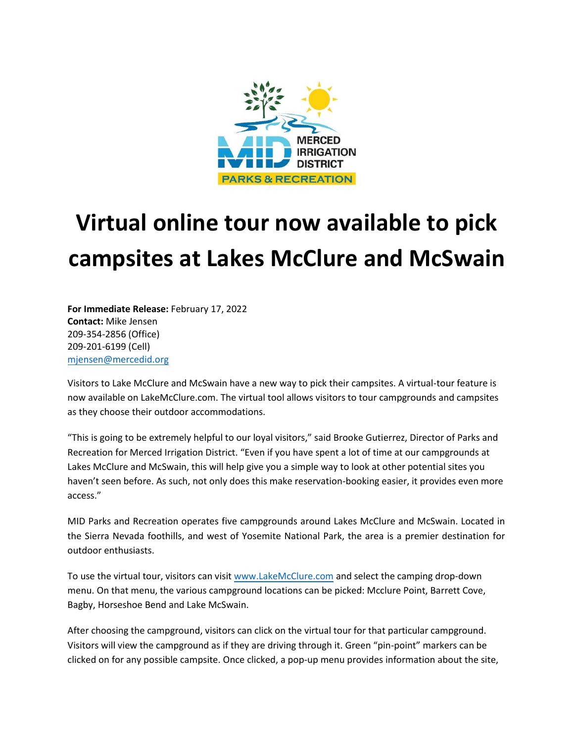

## **Virtual online tour now available to pick campsites at Lakes McClure and McSwain**

**For Immediate Release:** February 17, 2022 **Contact:** Mike Jensen 209-354-2856 (Office) 209-201-6199 (Cell) [mjensen@mercedid.org](mailto:mjensen@mercedid.org)

Visitors to Lake McClure and McSwain have a new way to pick their campsites. A virtual-tour feature is now available on LakeMcClure.com. The virtual tool allows visitors to tour campgrounds and campsites as they choose their outdoor accommodations.

"This is going to be extremely helpful to our loyal visitors," said Brooke Gutierrez, Director of Parks and Recreation for Merced Irrigation District. "Even if you have spent a lot of time at our campgrounds at Lakes McClure and McSwain, this will help give you a simple way to look at other potential sites you haven't seen before. As such, not only does this make reservation-booking easier, it provides even more access."

MID Parks and Recreation operates five campgrounds around Lakes McClure and McSwain. Located in the Sierra Nevada foothills, and west of Yosemite National Park, the area is a premier destination for outdoor enthusiasts.

To use the virtual tour, visitors can visi[t www.LakeMcClure.com](http://www.lakemcclure.com/) and select the camping drop-down menu. On that menu, the various campground locations can be picked: Mcclure Point, Barrett Cove, Bagby, Horseshoe Bend and Lake McSwain.

After choosing the campground, visitors can click on the virtual tour for that particular campground. Visitors will view the campground as if they are driving through it. Green "pin-point" markers can be clicked on for any possible campsite. Once clicked, a pop-up menu provides information about the site,